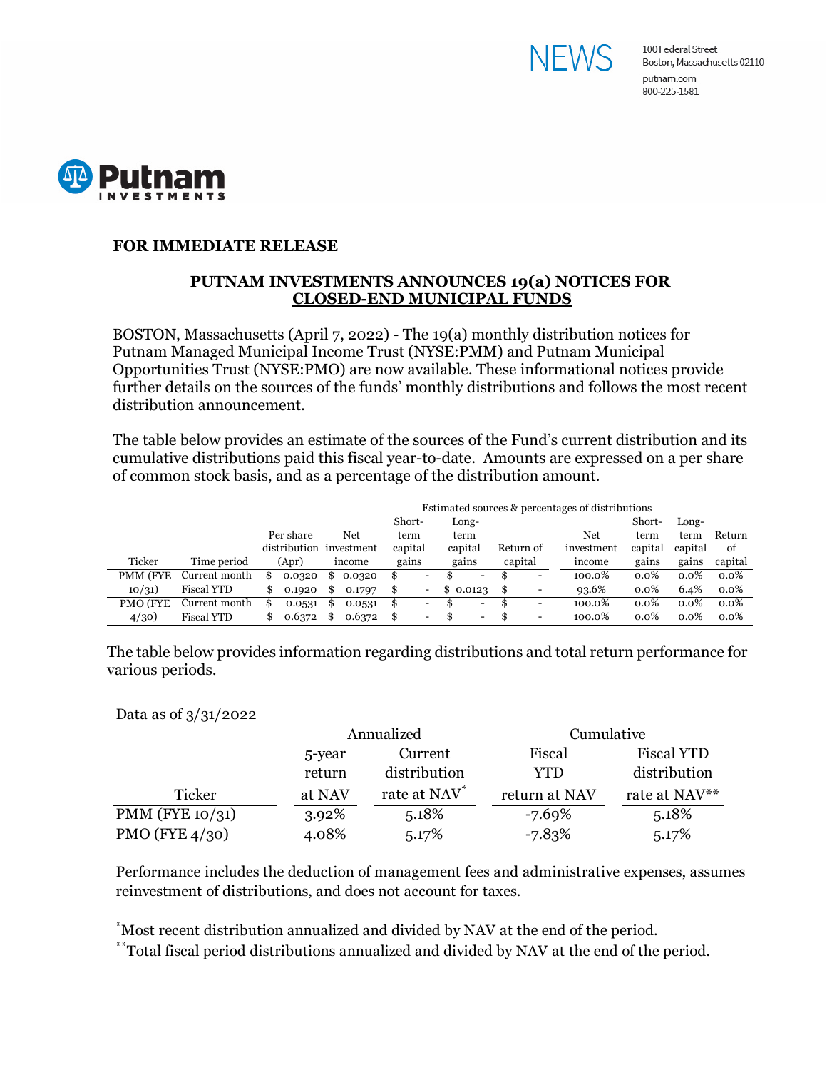



## **FOR IMMEDIATE RELEASE**

## **PUTNAM INVESTMENTS ANNOUNCES 19(a) NOTICES FOR CLOSED-END MUNICIPAL FUNDS**

BOSTON, Massachusetts (April 7, 2022) - The 19(a) monthly distribution notices for Putnam Managed Municipal Income Trust (NYSE:PMM) and Putnam Municipal Opportunities Trust (NYSE:PMO) are now available. These informational notices provide further details on the sources of the funds' monthly distributions and follows the most recent distribution announcement.

The table below provides an estimate of the sources of the Fund's current distribution and its cumulative distributions paid this fiscal year-to-date. Amounts are expressed on a per share of common stock basis, and as a percentage of the distribution amount.

|          |                   |   |                         | Estimated sources & percentages of distributions |        |         |                          |    |                          |      |           |            |         |         |         |
|----------|-------------------|---|-------------------------|--------------------------------------------------|--------|---------|--------------------------|----|--------------------------|------|-----------|------------|---------|---------|---------|
|          |                   |   |                         |                                                  |        | Short-  |                          |    | Long-                    |      |           |            | Short-  | Long-   |         |
|          |                   |   | Per share               |                                                  | Net    | term    |                          |    | term                     |      |           | Net        | term    | term    | Return  |
|          |                   |   | distribution investment |                                                  |        | capital |                          |    | capital                  |      | Return of | investment | capital | capital | of      |
| Ticker   | Time period       |   | (Apr)                   |                                                  | income | gains   |                          |    | gains                    |      | capital   | income     | gains   | gains   | capital |
| PMM (FYE | Current month     | S | 0.0320                  | S.                                               | 0.0320 | S       | $\overline{\phantom{0}}$ |    | -                        | Ъ,   | -         | 100.0%     | $0.0\%$ | $0.0\%$ | $0.0\%$ |
| 10/31)   | <b>Fiscal YTD</b> |   | 0.1920                  | \$                                               | 0.1797 | S       |                          |    | \$0.0123                 | - \$ | -         | 93.6%      | 0.0%    | 6.4%    | $0.0\%$ |
| PMO (FYE | Current month     | S | 0.0531                  | S                                                | 0.0531 | S       | $\overline{\phantom{a}}$ | ж  | -                        | S    | -         | 100.0%     | $0.0\%$ | $0.0\%$ | $0.0\%$ |
| 4/30)    | <b>Fiscal YTD</b> |   | 0.6372                  |                                                  | 0.6372 | £.      | $\overline{\phantom{0}}$ | £. | $\overline{\phantom{a}}$ | -S   | -         | 100.0%     | 0.0%    | 0.0%    | $0.0\%$ |

The table below provides information regarding distributions and total return performance for various periods.

Data as of 3/31/2022

|                    |        | Annualized               | Cumulative    |                   |  |  |
|--------------------|--------|--------------------------|---------------|-------------------|--|--|
|                    | 5-year | Current                  | Fiscal        | <b>Fiscal YTD</b> |  |  |
|                    | return | distribution             | YTD           | distribution      |  |  |
| Ticker             | at NAV | rate at NAV <sup>*</sup> | return at NAV | rate at NAV**     |  |  |
| PMM (FYE $10/31$ ) | 3.92%  | 5.18%                    | -7.69%        | 5.18%             |  |  |
| PMO (FYE $4/30$ )  | 4.08%  | 5.17%                    | $-7.83%$      | 5.17%             |  |  |

Performance includes the deduction of management fees and administrative expenses, assumes reinvestment of distributions, and does not account for taxes.

\* Most recent distribution annualized and divided by NAV at the end of the period.

\*\*Total fiscal period distributions annualized and divided by NAV at the end of the period.